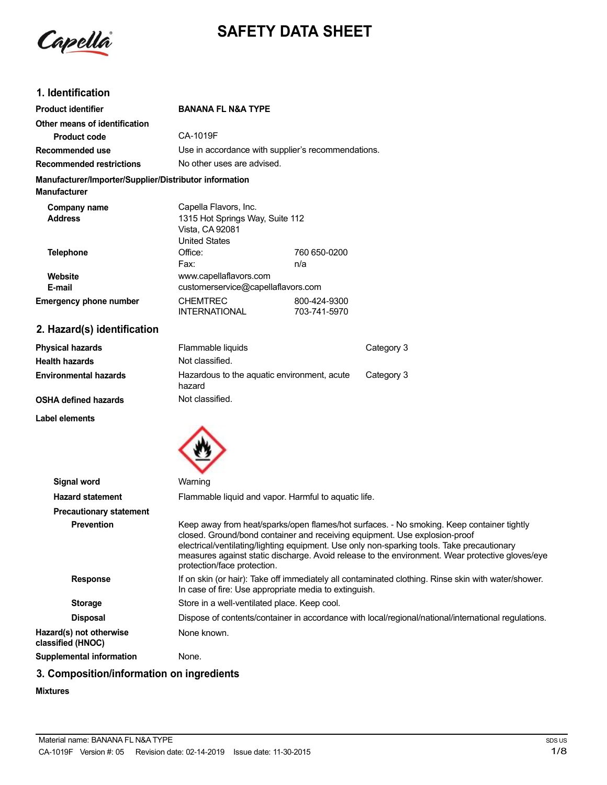

# **SAFETY DATA SHEET**

# **1. Identification**

| <b>Product identifier</b>                                              | <b>BANANA FL N&amp;A TYPE</b>                                                                       |                              |
|------------------------------------------------------------------------|-----------------------------------------------------------------------------------------------------|------------------------------|
| Other means of identification                                          |                                                                                                     |                              |
| <b>Product code</b>                                                    | CA-1019F                                                                                            |                              |
| Recommended use                                                        | Use in accordance with supplier's recommendations.                                                  |                              |
| <b>Recommended restrictions</b>                                        | No other uses are advised.                                                                          |                              |
| Manufacturer/Importer/Supplier/Distributor information<br>Manufacturer |                                                                                                     |                              |
| Company name<br><b>Address</b>                                         | Capella Flavors, Inc.<br>1315 Hot Springs Way, Suite 112<br>Vista, CA 92081<br><b>United States</b> |                              |
| <b>Telephone</b>                                                       | Office:<br>Fax:                                                                                     | 760 650-0200<br>n/a          |
| Website<br>E-mail                                                      | www.capellaflavors.com<br>customerservice@capellaflavors.com                                        |                              |
| Emergency phone number                                                 | <b>CHEMTREC</b><br><b>INTERNATIONAL</b>                                                             | 800-424-9300<br>703-741-5970 |

**2. Hazard(s) identification**

| <b>Physical hazards</b>      | Flammable liquids                                     | Category 3 |
|------------------------------|-------------------------------------------------------|------------|
| <b>Health hazards</b>        | Not classified.                                       |            |
| <b>Environmental hazards</b> | Hazardous to the aquatic environment, acute<br>hazard | Category 3 |
| <b>OSHA defined hazards</b>  | Not classified.                                       |            |

**Label elements**



| Signal word                                  | Warning                                                                                                                                                                                                                                                                                                                                                                                                 |
|----------------------------------------------|---------------------------------------------------------------------------------------------------------------------------------------------------------------------------------------------------------------------------------------------------------------------------------------------------------------------------------------------------------------------------------------------------------|
| <b>Hazard statement</b>                      | Flammable liquid and vapor. Harmful to aquatic life.                                                                                                                                                                                                                                                                                                                                                    |
| <b>Precautionary statement</b>               |                                                                                                                                                                                                                                                                                                                                                                                                         |
| <b>Prevention</b>                            | Keep away from heat/sparks/open flames/hot surfaces. - No smoking. Keep container tightly<br>closed. Ground/bond container and receiving equipment. Use explosion-proof<br>electrical/ventilating/lighting equipment. Use only non-sparking tools. Take precautionary<br>measures against static discharge. Avoid release to the environment. Wear protective gloves/eye<br>protection/face protection. |
| <b>Response</b>                              | If on skin (or hair): Take off immediately all contaminated clothing. Rinse skin with water/shower.<br>In case of fire: Use appropriate media to extinguish.                                                                                                                                                                                                                                            |
| <b>Storage</b>                               | Store in a well-ventilated place. Keep cool.                                                                                                                                                                                                                                                                                                                                                            |
| <b>Disposal</b>                              | Dispose of contents/container in accordance with local/regional/national/international regulations.                                                                                                                                                                                                                                                                                                     |
| Hazard(s) not otherwise<br>classified (HNOC) | None known.                                                                                                                                                                                                                                                                                                                                                                                             |
| Supplemental information                     | None.                                                                                                                                                                                                                                                                                                                                                                                                   |

# **3. Composition/information on ingredients**

**Mixtures**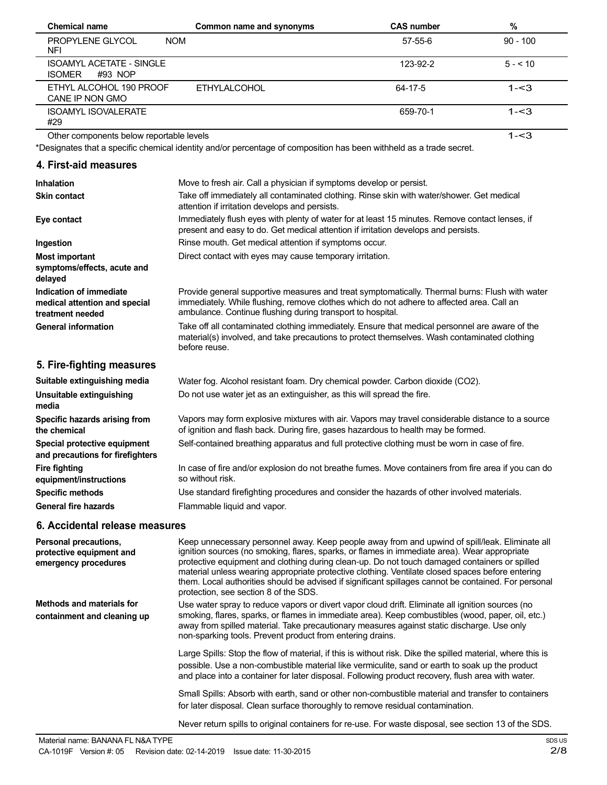| <b>Chemical name</b>                                        | Common name and synonyms | <b>CAS number</b> | %          |
|-------------------------------------------------------------|--------------------------|-------------------|------------|
| <b>PROPYLENE GLYCOL</b><br><b>NOM</b><br><b>NFI</b>         |                          | $57 - 55 - 6$     | $90 - 100$ |
| <b>ISOAMYL ACETATE - SINGLE</b><br><b>ISOMER</b><br>#93 NOP |                          | 123-92-2          | $5 - 10$   |
| ETHYL ALCOHOL 190 PROOF<br>CANE IP NON GMO                  | <b>ETHYLALCOHOL</b>      | 64-17-5           | $1 - 3$    |
| <b>ISOAMYL ISOVALERATE</b><br>#29                           |                          | 659-70-1          | $1 - 3$    |
| Other components below reportable levels                    |                          |                   | 1-<3       |

Other components below reportable levels

\*Designates that a specific chemical identity and/or percentage of composition has been withheld as a trade secret.

# **4. First-aid measures**

| <b>Inhalation</b>                                                            | Move to fresh air. Call a physician if symptoms develop or persist.                                                                                                                                                                                       |
|------------------------------------------------------------------------------|-----------------------------------------------------------------------------------------------------------------------------------------------------------------------------------------------------------------------------------------------------------|
| <b>Skin contact</b>                                                          | Take off immediately all contaminated clothing. Rinse skin with water/shower. Get medical<br>attention if irritation develops and persists.                                                                                                               |
| Eye contact                                                                  | Immediately flush eyes with plenty of water for at least 15 minutes. Remove contact lenses, if<br>present and easy to do. Get medical attention if irritation develops and persists.                                                                      |
| Ingestion                                                                    | Rinse mouth. Get medical attention if symptoms occur.                                                                                                                                                                                                     |
| <b>Most important</b>                                                        | Direct contact with eyes may cause temporary irritation.                                                                                                                                                                                                  |
| symptoms/effects, acute and<br>delayed                                       |                                                                                                                                                                                                                                                           |
| Indication of immediate<br>medical attention and special<br>treatment needed | Provide general supportive measures and treat symptomatically. Thermal burns: Flush with water<br>immediately. While flushing, remove clothes which do not adhere to affected area. Call an<br>ambulance. Continue flushing during transport to hospital. |
| <b>General information</b>                                                   | Take off all contaminated clothing immediately. Ensure that medical personnel are aware of the<br>material(s) involved, and take precautions to protect themselves. Wash contaminated clothing<br>before reuse.                                           |
| 5. Fire-fighting measures                                                    |                                                                                                                                                                                                                                                           |
| Suitable extinguishing media                                                 | Water fog. Alcohol resistant foam. Dry chemical powder. Carbon dioxide (CO2).                                                                                                                                                                             |
| Unsuitable extinguishing<br>media                                            | Do not use water jet as an extinguisher, as this will spread the fire.                                                                                                                                                                                    |
| Specific hazards arising from<br>the chemical                                | Vapors may form explosive mixtures with air. Vapors may travel considerable distance to a source<br>of ignition and flash back. During fire, gases hazardous to health may be formed.                                                                     |
| Special protective equipment                                                 | Self-contained breathing apparatus and full protective clothing must be worn in case of fire.                                                                                                                                                             |

In case of fire and/or explosion do not breathe fumes. Move containers from fire area if you can do so without risk.

Use standard firefighting procedures and consider the hazards of other involved materials.

Flammable liquid and vapor.

### **6. Accidental release measures**

**and precautions for firefighters**

**equipment/instructions Specific methods General fire hazards**

**Fire fighting**

| Personal precautions,<br>protective equipment and<br>emergency procedures | Keep unnecessary personnel away. Keep people away from and upwind of spill/leak. Eliminate all<br>ignition sources (no smoking, flares, sparks, or flames in immediate area). Wear appropriate<br>protective equipment and clothing during clean-up. Do not touch damaged containers or spilled<br>material unless wearing appropriate protective clothing. Ventilate closed spaces before entering<br>them. Local authorities should be advised if significant spillages cannot be contained. For personal<br>protection, see section 8 of the SDS. |
|---------------------------------------------------------------------------|------------------------------------------------------------------------------------------------------------------------------------------------------------------------------------------------------------------------------------------------------------------------------------------------------------------------------------------------------------------------------------------------------------------------------------------------------------------------------------------------------------------------------------------------------|
| Methods and materials for<br>containment and cleaning up                  | Use water spray to reduce vapors or divert vapor cloud drift. Eliminate all ignition sources (no<br>smoking, flares, sparks, or flames in immediate area). Keep combustibles (wood, paper, oil, etc.)<br>away from spilled material. Take precautionary measures against static discharge. Use only<br>non-sparking tools. Prevent product from entering drains.                                                                                                                                                                                     |
|                                                                           | Large Spills: Stop the flow of material, if this is without risk. Dike the spilled material, where this is<br>possible. Use a non-combustible material like vermiculite, sand or earth to soak up the product<br>and place into a container for later disposal. Following product recovery, flush area with water.                                                                                                                                                                                                                                   |
|                                                                           | Small Spills: Absorb with earth, sand or other non-combustible material and transfer to containers<br>for later disposal. Clean surface thoroughly to remove residual contamination.                                                                                                                                                                                                                                                                                                                                                                 |

Never return spills to original containers for re-use. For waste disposal, see section 13 of the SDS.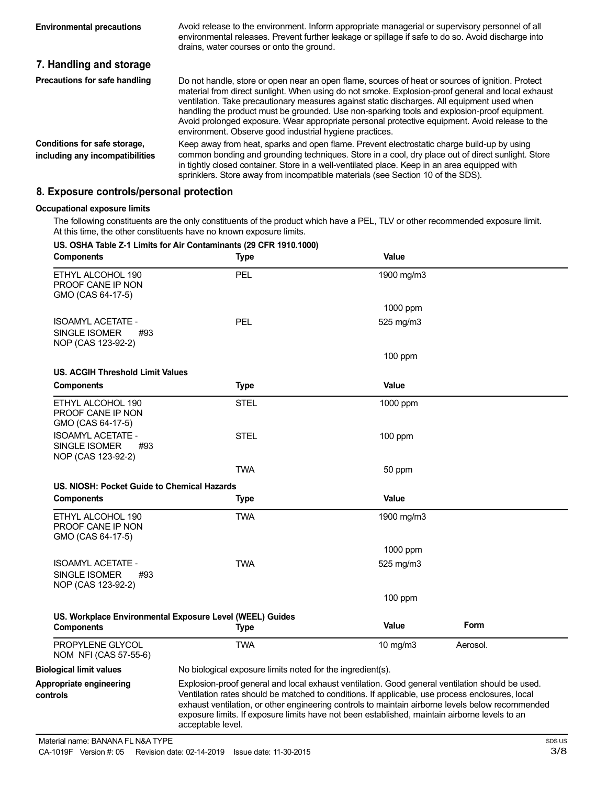| <b>Environmental precautions</b>                                | Avoid release to the environment. Inform appropriate managerial or supervisory personnel of all<br>environmental releases. Prevent further leakage or spillage if safe to do so. Avoid discharge into<br>drains, water courses or onto the ground.                                                                                                                                                                                                                                                                                                                |
|-----------------------------------------------------------------|-------------------------------------------------------------------------------------------------------------------------------------------------------------------------------------------------------------------------------------------------------------------------------------------------------------------------------------------------------------------------------------------------------------------------------------------------------------------------------------------------------------------------------------------------------------------|
| 7. Handling and storage                                         |                                                                                                                                                                                                                                                                                                                                                                                                                                                                                                                                                                   |
| Precautions for safe handling                                   | Do not handle, store or open near an open flame, sources of heat or sources of ignition. Protect<br>material from direct sunlight. When using do not smoke. Explosion-proof general and local exhaust<br>ventilation. Take precautionary measures against static discharges. All equipment used when<br>handling the product must be grounded. Use non-sparking tools and explosion-proof equipment.<br>Avoid prolonged exposure. Wear appropriate personal protective equipment. Avoid release to the<br>environment. Observe good industrial hygiene practices. |
| Conditions for safe storage,<br>including any incompatibilities | Keep away from heat, sparks and open flame. Prevent electrostatic charge build-up by using<br>common bonding and grounding techniques. Store in a cool, dry place out of direct sunlight. Store<br>in tightly closed container. Store in a well-ventilated place. Keep in an area equipped with<br>sprinklers. Store away from incompatible materials (see Section 10 of the SDS).                                                                                                                                                                                |

# **8. Exposure controls/personal protection**

#### **Occupational exposure limits**

The following constituents are the only constituents of the product which have a PEL, TLV or other recommended exposure limit. At this time, the other constituents have no known exposure limits.

### **US. OSHA Table Z-1 Limits for Air Contaminants (29 CFR 1910.1000)**

| <b>Components</b>                                                      | <b>Type</b>                                                                                                                                                                                                                                                                                                                                                                                                                  | Value        |          |  |
|------------------------------------------------------------------------|------------------------------------------------------------------------------------------------------------------------------------------------------------------------------------------------------------------------------------------------------------------------------------------------------------------------------------------------------------------------------------------------------------------------------|--------------|----------|--|
| ETHYL ALCOHOL 190<br>PROOF CANE IP NON<br>GMO (CAS 64-17-5)            | PEL                                                                                                                                                                                                                                                                                                                                                                                                                          | 1900 mg/m3   |          |  |
|                                                                        |                                                                                                                                                                                                                                                                                                                                                                                                                              | 1000 ppm     |          |  |
| <b>ISOAMYL ACETATE -</b><br>SINGLE ISOMER<br>#93<br>NOP (CAS 123-92-2) | <b>PEL</b>                                                                                                                                                                                                                                                                                                                                                                                                                   | 525 mg/m3    |          |  |
|                                                                        |                                                                                                                                                                                                                                                                                                                                                                                                                              | 100 ppm      |          |  |
| <b>US. ACGIH Threshold Limit Values</b>                                |                                                                                                                                                                                                                                                                                                                                                                                                                              |              |          |  |
| <b>Components</b>                                                      | <b>Type</b>                                                                                                                                                                                                                                                                                                                                                                                                                  | Value        |          |  |
| ETHYL ALCOHOL 190<br>PROOF CANE IP NON<br>GMO (CAS 64-17-5)            | <b>STEL</b>                                                                                                                                                                                                                                                                                                                                                                                                                  | 1000 ppm     |          |  |
| <b>ISOAMYL ACETATE -</b><br>SINGLE ISOMER<br>#93<br>NOP (CAS 123-92-2) | <b>STEL</b>                                                                                                                                                                                                                                                                                                                                                                                                                  | 100 ppm      |          |  |
|                                                                        | <b>TWA</b>                                                                                                                                                                                                                                                                                                                                                                                                                   | 50 ppm       |          |  |
| US. NIOSH: Pocket Guide to Chemical Hazards                            |                                                                                                                                                                                                                                                                                                                                                                                                                              |              |          |  |
| <b>Components</b>                                                      | <b>Type</b>                                                                                                                                                                                                                                                                                                                                                                                                                  | Value        |          |  |
| ETHYL ALCOHOL 190<br>PROOF CANE IP NON<br>GMO (CAS 64-17-5)            | <b>TWA</b>                                                                                                                                                                                                                                                                                                                                                                                                                   | 1900 mg/m3   |          |  |
|                                                                        |                                                                                                                                                                                                                                                                                                                                                                                                                              | 1000 ppm     |          |  |
| <b>ISOAMYL ACETATE -</b><br>SINGLE ISOMER<br>#93<br>NOP (CAS 123-92-2) | TWA                                                                                                                                                                                                                                                                                                                                                                                                                          | 525 mg/m3    |          |  |
|                                                                        |                                                                                                                                                                                                                                                                                                                                                                                                                              | 100 ppm      |          |  |
| <b>Components</b>                                                      | US. Workplace Environmental Exposure Level (WEEL) Guides<br><b>Type</b>                                                                                                                                                                                                                                                                                                                                                      | <b>Value</b> | Form     |  |
| PROPYLENE GLYCOL<br>NOM NFI (CAS 57-55-6)                              | <b>TWA</b>                                                                                                                                                                                                                                                                                                                                                                                                                   | 10 mg/m3     | Aerosol. |  |
| <b>Biological limit values</b>                                         | No biological exposure limits noted for the ingredient(s).                                                                                                                                                                                                                                                                                                                                                                   |              |          |  |
| Appropriate engineering<br>controls                                    | Explosion-proof general and local exhaust ventilation. Good general ventilation should be used.<br>Ventilation rates should be matched to conditions. If applicable, use process enclosures, local<br>exhaust ventilation, or other engineering controls to maintain airborne levels below recommended<br>exposure limits. If exposure limits have not been established, maintain airborne levels to an<br>acceptable level. |              |          |  |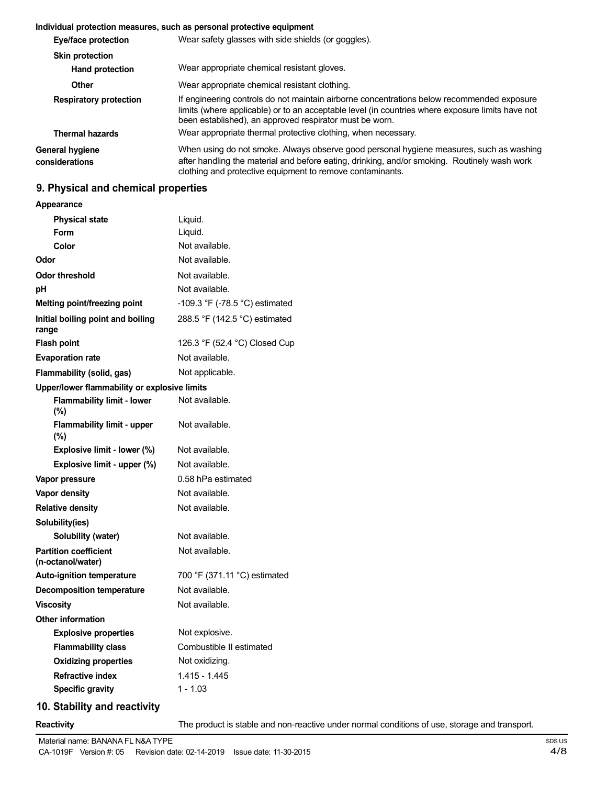### **Individual protection measures, such as personal protective equipment**

| Eye/face protection               | Wear safety glasses with side shields (or goggles).                                                                                                                                                                                                       |  |
|-----------------------------------|-----------------------------------------------------------------------------------------------------------------------------------------------------------------------------------------------------------------------------------------------------------|--|
| <b>Skin protection</b>            |                                                                                                                                                                                                                                                           |  |
| <b>Hand protection</b>            | Wear appropriate chemical resistant gloves.                                                                                                                                                                                                               |  |
| Other                             | Wear appropriate chemical resistant clothing.                                                                                                                                                                                                             |  |
| <b>Respiratory protection</b>     | If engineering controls do not maintain airborne concentrations below recommended exposure<br>limits (where applicable) or to an acceptable level (in countries where exposure limits have not<br>been established), an approved respirator must be worn. |  |
| <b>Thermal hazards</b>            | Wear appropriate thermal protective clothing, when necessary.                                                                                                                                                                                             |  |
| General hygiene<br>considerations | When using do not smoke. Always observe good personal hygiene measures, such as washing<br>after handling the material and before eating, drinking, and/or smoking. Routinely wash work<br>clothing and protective equipment to remove contaminants.      |  |

# **9. Physical and chemical properties**

| Appearance |
|------------|
|------------|

|       | <b>Physical state</b>                             | Liquid.                        |
|-------|---------------------------------------------------|--------------------------------|
|       | Form                                              | Liquid.                        |
|       | Color                                             | Not available.                 |
| Odor  |                                                   | Not available.                 |
|       | <b>Odor threshold</b>                             | Not available.                 |
| рH    |                                                   | Not available.                 |
|       | Melting point/freezing point                      | -109.3 °F (-78.5 °C) estimated |
| range | Initial boiling point and boiling                 | 288.5 °F (142.5 °C) estimated  |
|       | <b>Flash point</b>                                | 126.3 °F (52.4 °C) Closed Cup  |
|       | <b>Evaporation rate</b>                           | Not available.                 |
|       | Flammability (solid, gas)                         | Not applicable.                |
|       | Upper/lower flammability or explosive limits      |                                |
|       | <b>Flammability limit - lower</b><br>(%)          | Not available.                 |
|       | <b>Flammability limit - upper</b><br>(%)          | Not available.                 |
|       | Explosive limit - lower (%)                       | Not available.                 |
|       | Explosive limit - upper (%)                       | Not available.                 |
|       | Vapor pressure                                    | 0.58 hPa estimated             |
|       | Vapor density                                     | Not available.                 |
|       | <b>Relative density</b>                           | Not available.                 |
|       | Solubility(ies)                                   |                                |
|       | Solubility (water)                                | Not available.                 |
|       | <b>Partition coefficient</b><br>(n-octanol/water) | Not available.                 |
|       | <b>Auto-ignition temperature</b>                  | 700 °F (371.11 °C) estimated   |
|       | <b>Decomposition temperature</b>                  | Not available.                 |
|       | <b>Viscosity</b>                                  | Not available.                 |
|       | <b>Other information</b>                          |                                |
|       | <b>Explosive properties</b>                       | Not explosive.                 |
|       | <b>Flammability class</b>                         | Combustible II estimated       |
|       | <b>Oxidizing properties</b>                       | Not oxidizing.                 |
|       | <b>Refractive index</b>                           | 1.415 - 1.445                  |
|       | <b>Specific gravity</b>                           | $1 - 1.03$                     |
|       |                                                   |                                |

# **10. Stability and reactivity**

**Reactivity** The product is stable and non-reactive under normal conditions of use, storage and transport.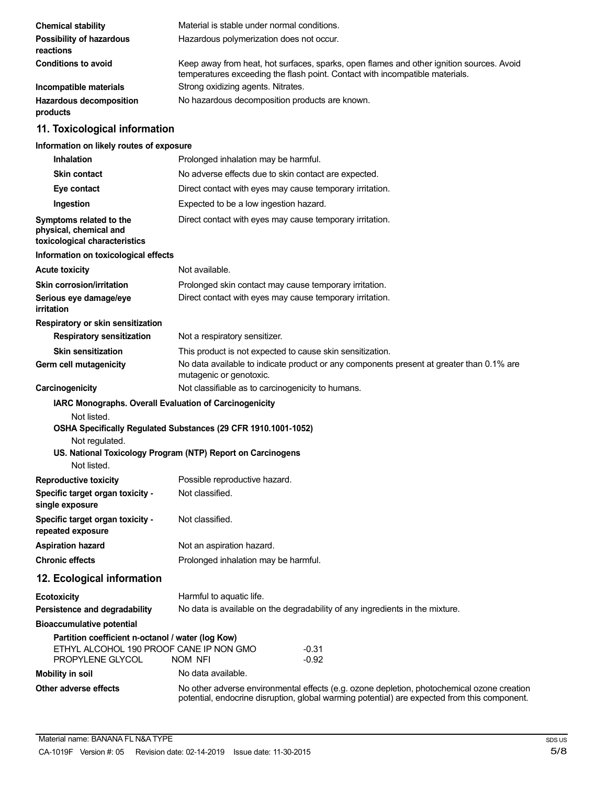| <b>Chemical stability</b>                                                                    | Material is stable under normal conditions.                                                                                                                                                |  |
|----------------------------------------------------------------------------------------------|--------------------------------------------------------------------------------------------------------------------------------------------------------------------------------------------|--|
| Possibility of hazardous<br>reactions                                                        | Hazardous polymerization does not occur.                                                                                                                                                   |  |
| <b>Conditions to avoid</b>                                                                   | Keep away from heat, hot surfaces, sparks, open flames and other ignition sources. Avoid<br>temperatures exceeding the flash point. Contact with incompatible materials.                   |  |
| Incompatible materials                                                                       | Strong oxidizing agents. Nitrates.                                                                                                                                                         |  |
| <b>Hazardous decomposition</b><br>products                                                   | No hazardous decomposition products are known.                                                                                                                                             |  |
| 11. Toxicological information                                                                |                                                                                                                                                                                            |  |
| Information on likely routes of exposure                                                     |                                                                                                                                                                                            |  |
| <b>Inhalation</b>                                                                            | Prolonged inhalation may be harmful.                                                                                                                                                       |  |
| <b>Skin contact</b>                                                                          | No adverse effects due to skin contact are expected.                                                                                                                                       |  |
| Eye contact                                                                                  | Direct contact with eyes may cause temporary irritation.                                                                                                                                   |  |
| Ingestion                                                                                    | Expected to be a low ingestion hazard.                                                                                                                                                     |  |
| Symptoms related to the<br>physical, chemical and<br>toxicological characteristics           | Direct contact with eyes may cause temporary irritation.                                                                                                                                   |  |
| Information on toxicological effects                                                         |                                                                                                                                                                                            |  |
| <b>Acute toxicity</b>                                                                        | Not available.                                                                                                                                                                             |  |
| <b>Skin corrosion/irritation</b>                                                             | Prolonged skin contact may cause temporary irritation.                                                                                                                                     |  |
| Serious eye damage/eye<br>irritation                                                         | Direct contact with eyes may cause temporary irritation.                                                                                                                                   |  |
| Respiratory or skin sensitization                                                            |                                                                                                                                                                                            |  |
| <b>Respiratory sensitization</b>                                                             | Not a respiratory sensitizer.                                                                                                                                                              |  |
| <b>Skin sensitization</b>                                                                    | This product is not expected to cause skin sensitization.                                                                                                                                  |  |
| Germ cell mutagenicity                                                                       | No data available to indicate product or any components present at greater than 0.1% are<br>mutagenic or genotoxic.                                                                        |  |
| Carcinogenicity                                                                              | Not classifiable as to carcinogenicity to humans.                                                                                                                                          |  |
| IARC Monographs. Overall Evaluation of Carcinogenicity<br>Not listed.                        |                                                                                                                                                                                            |  |
| Not regulated.<br>Not listed.                                                                | OSHA Specifically Regulated Substances (29 CFR 1910.1001-1052)<br>US. National Toxicology Program (NTP) Report on Carcinogens                                                              |  |
| <b>Reproductive toxicity</b>                                                                 | Possible reproductive hazard.                                                                                                                                                              |  |
| Specific target organ toxicity -<br>single exposure                                          | Not classified.                                                                                                                                                                            |  |
| Specific target organ toxicity -<br>repeated exposure                                        | Not classified.                                                                                                                                                                            |  |
| <b>Aspiration hazard</b>                                                                     | Not an aspiration hazard.                                                                                                                                                                  |  |
| <b>Chronic effects</b>                                                                       | Prolonged inhalation may be harmful.                                                                                                                                                       |  |
| 12. Ecological information                                                                   |                                                                                                                                                                                            |  |
| <b>Ecotoxicity</b>                                                                           | Harmful to aquatic life.                                                                                                                                                                   |  |
| Persistence and degradability                                                                | No data is available on the degradability of any ingredients in the mixture.                                                                                                               |  |
| <b>Bioaccumulative potential</b>                                                             |                                                                                                                                                                                            |  |
| Partition coefficient n-octanol / water (log Kow)<br>ETHYL ALCOHOL 190 PROOF CANE IP NON GMO | $-0.31$                                                                                                                                                                                    |  |
| PROPYLENE GLYCOL                                                                             | $-0.92$<br>NOM NFI                                                                                                                                                                         |  |
| <b>Mobility in soil</b>                                                                      | No data available.                                                                                                                                                                         |  |
| Other adverse effects                                                                        | No other adverse environmental effects (e.g. ozone depletion, photochemical ozone creation<br>potential, endocrine disruption, global warming potential) are expected from this component. |  |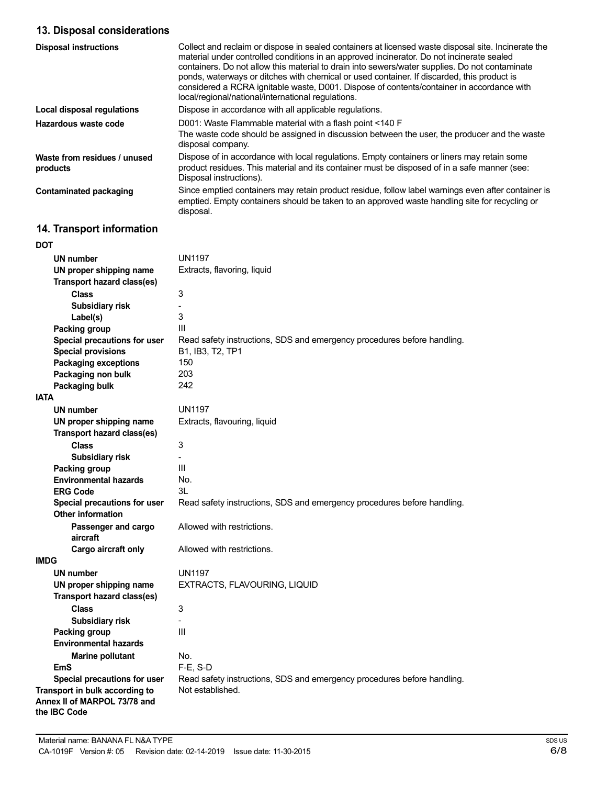# **13. Disposal considerations**

| <b>Disposal instructions</b>             | Collect and reclaim or dispose in sealed containers at licensed waste disposal site. Incinerate the<br>material under controlled conditions in an approved incinerator. Do not incinerate sealed<br>containers. Do not allow this material to drain into sewers/water supplies. Do not contaminate<br>ponds, waterways or ditches with chemical or used container. If discarded, this product is<br>considered a RCRA ignitable waste, D001. Dispose of contents/container in accordance with<br>local/regional/national/international regulations. |
|------------------------------------------|-----------------------------------------------------------------------------------------------------------------------------------------------------------------------------------------------------------------------------------------------------------------------------------------------------------------------------------------------------------------------------------------------------------------------------------------------------------------------------------------------------------------------------------------------------|
| Local disposal regulations               | Dispose in accordance with all applicable regulations.                                                                                                                                                                                                                                                                                                                                                                                                                                                                                              |
| Hazardous waste code                     | D001: Waste Flammable material with a flash point <140 F<br>The waste code should be assigned in discussion between the user, the producer and the waste<br>disposal company.                                                                                                                                                                                                                                                                                                                                                                       |
| Waste from residues / unused<br>products | Dispose of in accordance with local regulations. Empty containers or liners may retain some<br>product residues. This material and its container must be disposed of in a safe manner (see:<br>Disposal instructions).                                                                                                                                                                                                                                                                                                                              |
| <b>Contaminated packaging</b>            | Since emptied containers may retain product residue, follow label warnings even after container is<br>emptied. Empty containers should be taken to an approved waste handling site for recycling or<br>disposal.                                                                                                                                                                                                                                                                                                                                    |

# **14. Transport information**

| DOT                                                                                   |                                                                         |
|---------------------------------------------------------------------------------------|-------------------------------------------------------------------------|
| <b>UN number</b>                                                                      | <b>UN1197</b>                                                           |
| UN proper shipping name                                                               | Extracts, flavoring, liquid                                             |
| Transport hazard class(es)                                                            |                                                                         |
| <b>Class</b>                                                                          | 3                                                                       |
| <b>Subsidiary risk</b>                                                                |                                                                         |
| Label(s)                                                                              | 3                                                                       |
| Packing group                                                                         | Ш                                                                       |
| Special precautions for user                                                          | Read safety instructions, SDS and emergency procedures before handling. |
| <b>Special provisions</b>                                                             | B1, IB3, T2, TP1                                                        |
| <b>Packaging exceptions</b>                                                           | 150                                                                     |
| Packaging non bulk                                                                    | 203                                                                     |
| <b>Packaging bulk</b>                                                                 | 242                                                                     |
| <b>IATA</b>                                                                           |                                                                         |
| <b>UN number</b>                                                                      | <b>UN1197</b>                                                           |
| UN proper shipping name                                                               | Extracts, flavouring, liquid                                            |
| Transport hazard class(es)                                                            |                                                                         |
| <b>Class</b>                                                                          | 3                                                                       |
| Subsidiary risk                                                                       |                                                                         |
| Packing group                                                                         | Ш                                                                       |
| <b>Environmental hazards</b>                                                          | No.                                                                     |
| <b>ERG Code</b>                                                                       | 3L                                                                      |
| Special precautions for user                                                          | Read safety instructions, SDS and emergency procedures before handling. |
| <b>Other information</b>                                                              |                                                                         |
| Passenger and cargo                                                                   | Allowed with restrictions.                                              |
| aircraft                                                                              |                                                                         |
| Cargo aircraft only                                                                   | Allowed with restrictions.                                              |
| <b>IMDG</b>                                                                           |                                                                         |
| UN number                                                                             | <b>UN1197</b>                                                           |
| UN proper shipping name                                                               | EXTRACTS, FLAVOURING, LIQUID                                            |
| Transport hazard class(es)                                                            |                                                                         |
| <b>Class</b>                                                                          | 3                                                                       |
| Subsidiary risk                                                                       |                                                                         |
| Packing group                                                                         | III                                                                     |
| <b>Environmental hazards</b>                                                          |                                                                         |
| <b>Marine pollutant</b>                                                               | No.                                                                     |
| EmS                                                                                   | F-E, S-D                                                                |
| Special precautions for user                                                          | Read safety instructions, SDS and emergency procedures before handling. |
| Transport in bulk according to<br>Annex II of MARPOL 73/78 and<br>the <b>IBC</b> Code | Not established.                                                        |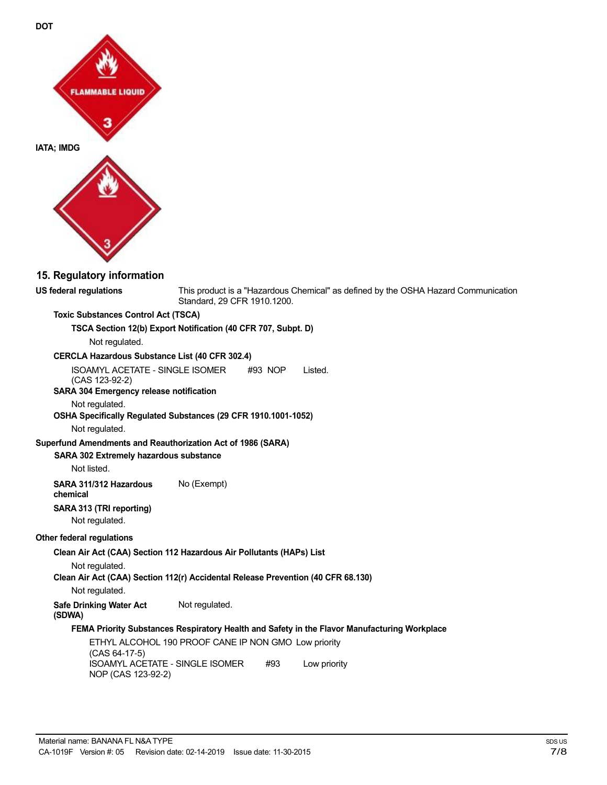

**DOT**

## **15. Regulatory information**

**US federal regulations** This product is a "Hazardous Chemical" as defined by the OSHA Hazard Communication Standard, 29 CFR 1910.1200.

#### **Toxic Substances Control Act (TSCA)**

**TSCA Section 12(b) Export Notification (40 CFR 707, Subpt. D)**

Not regulated.

#### **CERCLA Hazardous Substance List (40 CFR 302.4)**

ISOAMYL ACETATE - SINGLE ISOMER #93 NOP Listed.

(CAS 123-92-2) **SARA 304 Emergency release notification**

# Not regulated.

# **OSHA Specifically Regulated Substances (29 CFR 1910.1001-1052)**

Not regulated.

### **Superfund Amendments and Reauthorization Act of 1986 (SARA)**

### **SARA 302 Extremely hazardous substance**

Not listed.

**SARA 311/312 Hazardous** No (Exempt) **chemical**

#### **SARA 313 (TRI reporting)** Not regulated.

**Other federal regulations**

**Clean Air Act (CAA) Section 112 Hazardous Air Pollutants (HAPs) List**

#### Not regulated.

**Clean Air Act (CAA) Section 112(r) Accidental Release Prevention (40 CFR 68.130)**

Not regulated.

**Safe Drinking Water Act** Not regulated. **(SDWA)**

# **FEMA Priority Substances Respiratory Health and Safety in the Flavor Manufacturing Workplace**

ETHYL ALCOHOL 190 PROOF CANE IP NON GMO Low priority (CAS 64-17-5) ISOAMYL ACETATE - SINGLE ISOMER #93 NOP (CAS 123-92-2) Low priority